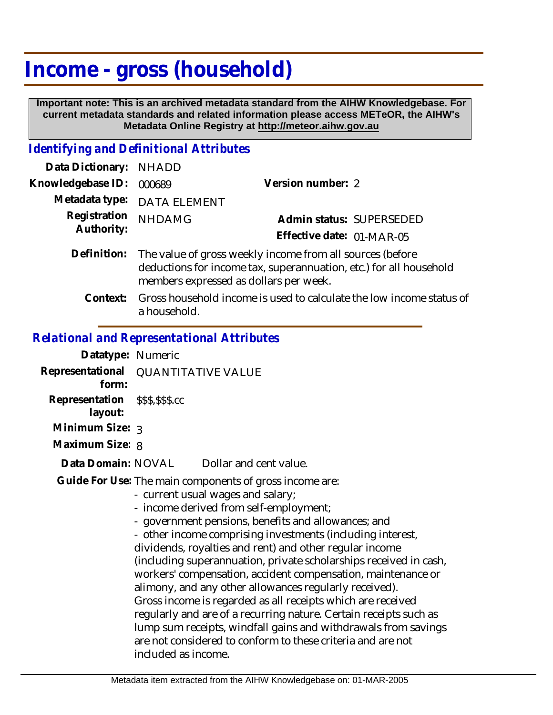# **Income - gross (household)**

 **Important note: This is an archived metadata standard from the AIHW Knowledgebase. For current metadata standards and related information please access METeOR, the AIHW's Metadata Online Registry at http://meteor.aihw.gov.au**

## *Identifying and Definitional Attributes*

| Data Dictionary: NHADD     |                                                                                                                                                                                       |                           |
|----------------------------|---------------------------------------------------------------------------------------------------------------------------------------------------------------------------------------|---------------------------|
| Knowledgebase ID:          | 000689                                                                                                                                                                                | Version number: 2         |
| Registration<br>Authority: | Metadata type: DATA ELEMENT                                                                                                                                                           |                           |
|                            | <b>NHDAMG</b>                                                                                                                                                                         | Admin status: SUPERSEDED  |
|                            |                                                                                                                                                                                       | Effective date: 01-MAR-05 |
|                            | Definition: The value of gross weekly income from all sources (before<br>deductions for income tax, superannuation, etc.) for all household<br>members expressed as dollars per week. |                           |

Gross household income is used to calculate the low income status of a household. **Context:**

#### *Relational and Representational Attributes*

| Datatype: Numeric                          |                                                                                                                                                                                                                                                                                                                                                                                                                                                                                                                                                                                                                                                                                                                                                                                                                   |                        |  |
|--------------------------------------------|-------------------------------------------------------------------------------------------------------------------------------------------------------------------------------------------------------------------------------------------------------------------------------------------------------------------------------------------------------------------------------------------------------------------------------------------------------------------------------------------------------------------------------------------------------------------------------------------------------------------------------------------------------------------------------------------------------------------------------------------------------------------------------------------------------------------|------------------------|--|
| form:                                      | Representational QUANTITATIVE VALUE                                                                                                                                                                                                                                                                                                                                                                                                                                                                                                                                                                                                                                                                                                                                                                               |                        |  |
| Representation \$\$\$,\$\$\$.cc<br>layout: |                                                                                                                                                                                                                                                                                                                                                                                                                                                                                                                                                                                                                                                                                                                                                                                                                   |                        |  |
| Minimum Size: 3                            |                                                                                                                                                                                                                                                                                                                                                                                                                                                                                                                                                                                                                                                                                                                                                                                                                   |                        |  |
| Maximum Size: 8                            |                                                                                                                                                                                                                                                                                                                                                                                                                                                                                                                                                                                                                                                                                                                                                                                                                   |                        |  |
| Data Domain: NOVAL                         |                                                                                                                                                                                                                                                                                                                                                                                                                                                                                                                                                                                                                                                                                                                                                                                                                   | Dollar and cent value. |  |
|                                            | Guide For Use: The main components of gross income are:<br>- current usual wages and salary;<br>- income derived from self-employment;<br>- government pensions, benefits and allowances; and<br>- other income comprising investments (including interest,<br>dividends, royalties and rent) and other regular income<br>(including superannuation, private scholarships received in cash,<br>workers' compensation, accident compensation, maintenance or<br>alimony, and any other allowances regularly received).<br>Gross income is regarded as all receipts which are received<br>regularly and are of a recurring nature. Certain receipts such as<br>lump sum receipts, windfall gains and withdrawals from savings<br>are not considered to conform to these criteria and are not<br>included as income. |                        |  |